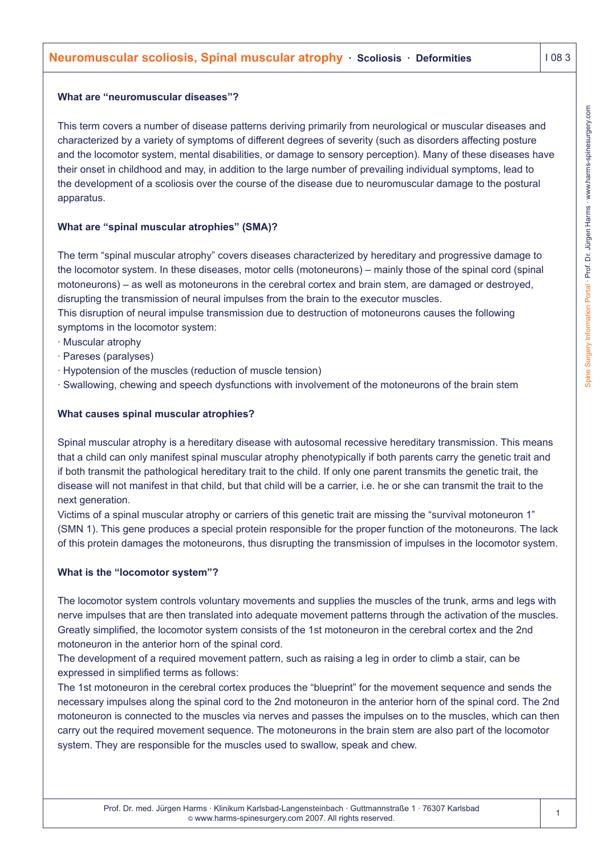## **What are "neuromuscular diseases"?**

This term covers a number of disease patterns deriving primarily from neurological or muscular diseases and characterized by a variety of symptoms of different degrees of severity (such as disorders affecting posture and the locomotor system, mental disabilities, or damage to sensory perception). Many of these diseases have their onset in childhood and may, in addition to the large number of prevailing individual symptoms, lead to the development of a scoliosis over the course of the disease due to neuromuscular damage to the postural apparatus.

# **What are "spinal muscular atrophies" (SMA)?**

The term "spinal muscular atrophy" covers diseases characterized by hereditary and progressive damage to the locomotor system. In these diseases, motor cells (motoneurons) – mainly those of the spinal cord (spinal motoneurons) – as well as motoneurons in the cerebral cortex and brain stem, are damaged or destroyed, disrupting the transmission of neural impulses from the brain to the executor muscles.

This disruption of neural impulse transmission due to destruction of motoneurons causes the following symptoms in the locomotor system:

- · Muscular atrophy
- · Pareses (paralyses)
- · Hypotension of the muscles (reduction of muscle tension)
- · Swallowing, chewing and speech dysfunctions with involvement of the motoneurons of the brain stem

# **What causes spinal muscular atrophies?**

Spinal muscular atrophy is a hereditary disease with autosomal recessive hereditary transmission. This means that a child can only manifest spinal muscular atrophy phenotypically if both parents carry the genetic trait and if both transmit the pathological hereditary trait to the child. If only one parent transmits the genetic trait, the disease will not manifest in that child, but that child will be a carrier, i.e. he or she can transmit the trait to the next generation.

Victims of a spinal muscular atrophy or carriers of this genetic trait are missing the "survival motoneuron 1" (SMN 1). This gene produces a special protein responsible for the proper function of the motoneurons. The lack of this protein damages the motoneurons, thus disrupting the transmission of impulses in the locomotor system.

# **What is the "locomotor system"?**

The locomotor system controls voluntary movements and supplies the muscles of the trunk, arms and legs with nerve impulses that are then translated into adequate movement patterns through the activation of the muscles. Greatly simplified, the locomotor system consists of the 1st motoneuron in the cerebral cortex and the 2nd motoneuron in the anterior horn of the spinal cord.

The development of a required movement pattern, such as raising a leg in order to climb a stair, can be expressed in simplified terms as follows:

The 1st motoneuron in the cerebral cortex produces the "blueprint" for the movement sequence and sends the necessary impulses along the spinal cord to the 2nd motoneuron in the anterior horn of the spinal cord. The 2nd motoneuron is connected to the muscles via nerves and passes the impulses on to the muscles, which can then carry out the required movement sequence. The motoneurons in the brain stem are also part of the locomotor system. They are responsible for the muscles used to swallow, speak and chew.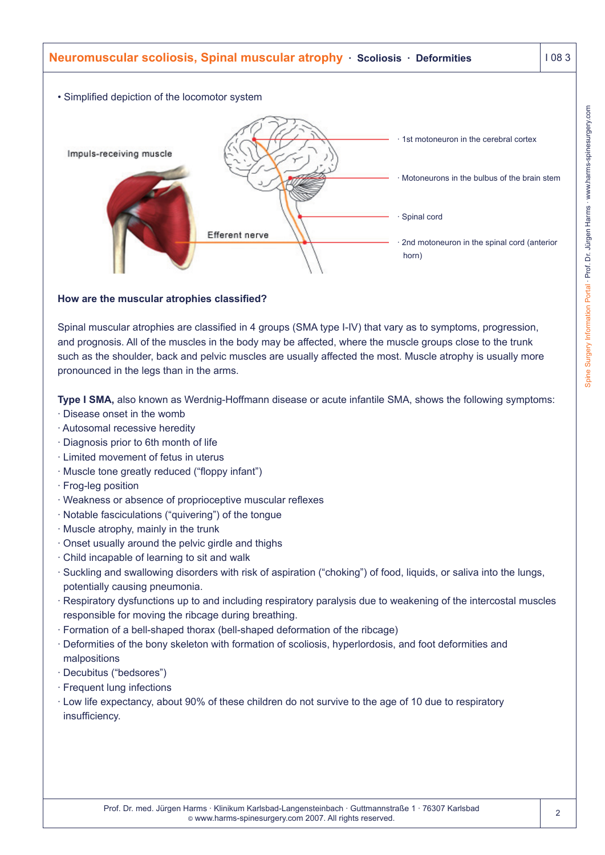

## **How are the muscular atrophies classified?**

Spinal muscular atrophies are classified in 4 groups (SMA type I-IV) that vary as to symptoms, progression, and prognosis. All of the muscles in the body may be affected, where the muscle groups close to the trunk such as the shoulder, back and pelvic muscles are usually affected the most. Muscle atrophy is usually more pronounced in the legs than in the arms.

**Type I SMA,** also known as Werdnig-Hoffmann disease or acute infantile SMA, shows the following symptoms:

- · Disease onset in the womb
- · Autosomal recessive heredity
- · Diagnosis prior to 6th month of life
- · Limited movement of fetus in uterus
- · Muscle tone greatly reduced ("floppy infant")
- · Frog-leg position
- · Weakness or absence of proprioceptive muscular reflexes
- · Notable fasciculations ("quivering") of the tongue
- · Muscle atrophy, mainly in the trunk
- · Onset usually around the pelvic girdle and thighs
- · Child incapable of learning to sit and walk
- · Suckling and swallowing disorders with risk of aspiration ("choking") of food, liquids, or saliva into the lungs, potentially causing pneumonia.
- · Respiratory dysfunctions up to and including respiratory paralysis due to weakening of the intercostal muscles responsible for moving the ribcage during breathing.
- · Formation of a bell-shaped thorax (bell-shaped deformation of the ribcage)
- · Deformities of the bony skeleton with formation of scoliosis, hyperlordosis, and foot deformities and malpositions
- · Decubitus ("bedsores")
- · Frequent lung infections
- · Low life expectancy, about 90% of these children do not survive to the age of 10 due to respiratory insufficiency.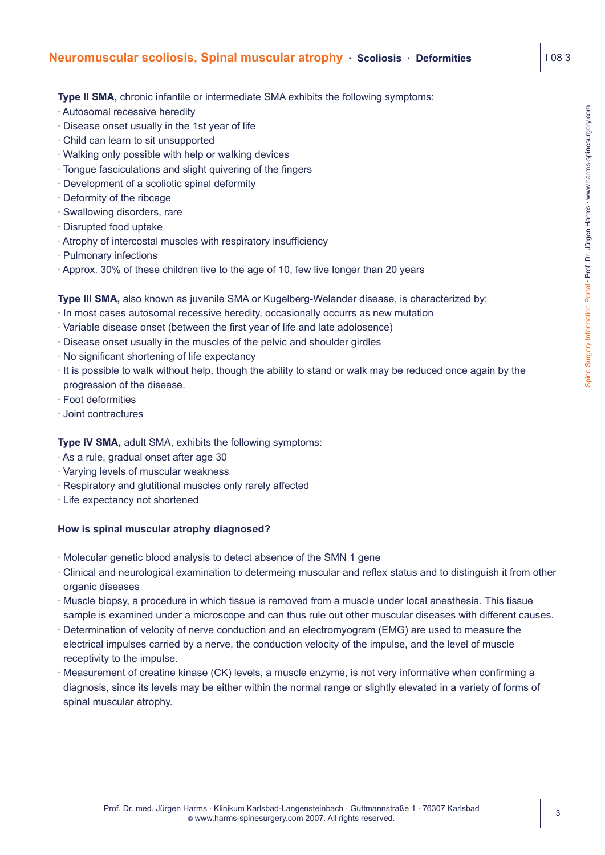# **Neuromuscular scoliosis, Spinal muscular atrophy · Scoliosis · Deformities | 108 3**

**Type II SMA,** chronic infantile or intermediate SMA exhibits the following symptoms:

- · Autosomal recessive heredity
- · Disease onset usually in the 1st year of life
- · Child can learn to sit unsupported
- · Walking only possible with help or walking devices
- · Tongue fasciculations and slight quivering of the fingers
- · Development of a scoliotic spinal deformity
- · Deformity of the ribcage
- · Swallowing disorders, rare
- · Disrupted food uptake
- · Atrophy of intercostal muscles with respiratory insufficiency
- · Pulmonary infections
- · Approx. 30% of these children live to the age of 10, few live longer than 20 years

**Type III SMA,** also known as juvenile SMA or Kugelberg-Welander disease, is characterized by:

- · In most cases autosomal recessive heredity, occasionally occurrs as new mutation
- · Variable disease onset (between the first year of life and late adolosence)
- · Disease onset usually in the muscles of the pelvic and shoulder girdles
- · No significant shortening of life expectancy
- · It is possible to walk without help, though the ability to stand or walk may be reduced once again by the progression of the disease.
- · Foot deformities
- · Joint contractures

#### **Type IV SMA,** adult SMA, exhibits the following symptoms:

- · As a rule, gradual onset after age 30
- · Varying levels of muscular weakness
- · Respiratory and glutitional muscles only rarely affected
- · Life expectancy not shortened

#### **How is spinal muscular atrophy diagnosed?**

- · Molecular genetic blood analysis to detect absence of the SMN 1 gene
- · Clinical and neurological examination to determeing muscular and reflex status and to distinguish it from other organic diseases
- · Muscle biopsy, a procedure in which tissue is removed from a muscle under local anesthesia. This tissue sample is examined under a microscope and can thus rule out other muscular diseases with different causes.
- Determination of velocity of nerve conduction and an electromyogram (EMG) are used to measure the electrical impulses carried by a nerve, the conduction velocity of the impulse, and the level of muscle receptivity to the impulse.
- · Measurement of creatine kinase (CK) levels, a muscle enzyme, is not very informative when confirming a diagnosis, since its levels may be either within the normal range or slightly elevated in a variety of forms of spinal muscular atrophy.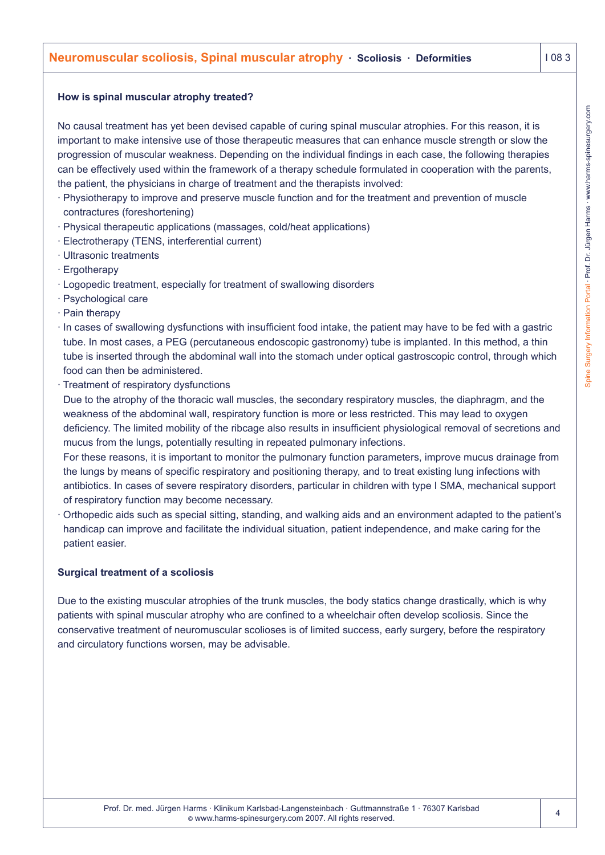## **How is spinal muscular atrophy treated?**

No causal treatment has yet been devised capable of curing spinal muscular atrophies. For this reason, it is important to make intensive use of those therapeutic measures that can enhance muscle strength or slow the progression of muscular weakness. Depending on the individual findings in each case, the following therapies can be effectively used within the framework of a therapy schedule formulated in cooperation with the parents, the patient, the physicians in charge of treatment and the therapists involved:

- · Physiotherapy to improve and preserve muscle function and for the treatment and prevention of muscle contractures (foreshortening)
- · Physical therapeutic applications (massages, cold/heat applications)
- · Electrotherapy (TENS, interferential current)
- · Ultrasonic treatments
- · Ergotherapy
- · Logopedic treatment, especially for treatment of swallowing disorders
- · Psychological care
- · Pain therapy
- · In cases of swallowing dysfunctions with insufficient food intake, the patient may have to be fed with a gastric tube. In most cases, a PEG (percutaneous endoscopic gastronomy) tube is implanted. In this method, a thin tube is inserted through the abdominal wall into the stomach under optical gastroscopic control, through which food can then be administered.
- · Treatment of respiratory dysfunctions

Due to the atrophy of the thoracic wall muscles, the secondary respiratory muscles, the diaphragm, and the weakness of the abdominal wall, respiratory function is more or less restricted. This may lead to oxygen deficiency. The limited mobility of the ribcage also results in insufficient physiological removal of secretions and mucus from the lungs, potentially resulting in repeated pulmonary infections.

For these reasons, it is important to monitor the pulmonary function parameters, improve mucus drainage from the lungs by means of specific respiratory and positioning therapy, and to treat existing lung infections with antibiotics. In cases of severe respiratory disorders, particular in children with type I SMA, mechanical support of respiratory function may become necessary.

· Orthopedic aids such as special sitting, standing, and walking aids and an environment adapted to the patient's handicap can improve and facilitate the individual situation, patient independence, and make caring for the patient easier.

# **Surgical treatment of a scoliosis**

Due to the existing muscular atrophies of the trunk muscles, the body statics change drastically, which is why patients with spinal muscular atrophy who are confined to a wheelchair often develop scoliosis. Since the conservative treatment of neuromuscular scolioses is of limited success, early surgery, before the respiratory and circulatory functions worsen, may be advisable.